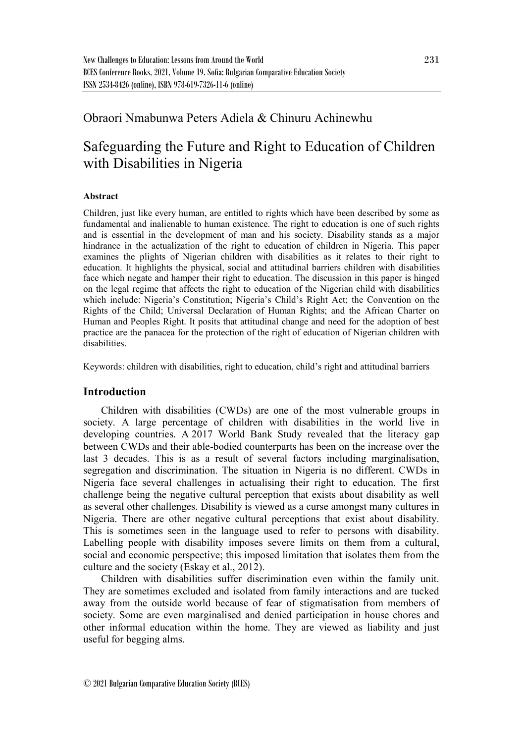## Obraori Nmabunwa Peters Adiela & Chinuru Achinewhu

# Safeguarding the Future and Right to Education of Children with Disabilities in Nigeria

## **Abstract**

Children, just like every human, are entitled to rights which have been described by some as fundamental and inalienable to human existence. The right to education is one of such rights and is essential in the development of man and his society. Disability stands as a major hindrance in the actualization of the right to education of children in Nigeria. This paper examines the plights of Nigerian children with disabilities as it relates to their right to education. It highlights the physical, social and attitudinal barriers children with disabilities face which negate and hamper their right to education. The discussion in this paper is hinged on the legal regime that affects the right to education of the Nigerian child with disabilities which include: Nigeria's Constitution; Nigeria's Child's Right Act; the Convention on the Rights of the Child; Universal Declaration of Human Rights; and the African Charter on Human and Peoples Right. It posits that attitudinal change and need for the adoption of best practice are the panacea for the protection of the right of education of Nigerian children with disabilities.

Keywords: children with disabilities, right to education, child's right and attitudinal barriers

## **Introduction**

Children with disabilities (CWDs) are one of the most vulnerable groups in society. A large percentage of children with disabilities in the world live in developing countries. A 2017 World Bank Study revealed that the literacy gap between CWDs and their able-bodied counterparts has been on the increase over the last 3 decades. This is as a result of several factors including marginalisation, segregation and discrimination. The situation in Nigeria is no different. CWDs in Nigeria face several challenges in actualising their right to education. The first challenge being the negative cultural perception that exists about disability as well as several other challenges. Disability is viewed as a curse amongst many cultures in Nigeria. There are other negative cultural perceptions that exist about disability. This is sometimes seen in the language used to refer to persons with disability. Labelling people with disability imposes severe limits on them from a cultural, social and economic perspective; this imposed limitation that isolates them from the culture and the society (Eskay et al., 2012).

Children with disabilities suffer discrimination even within the family unit. They are sometimes excluded and isolated from family interactions and are tucked away from the outside world because of fear of stigmatisation from members of society. Some are even marginalised and denied participation in house chores and other informal education within the home. They are viewed as liability and just useful for begging alms.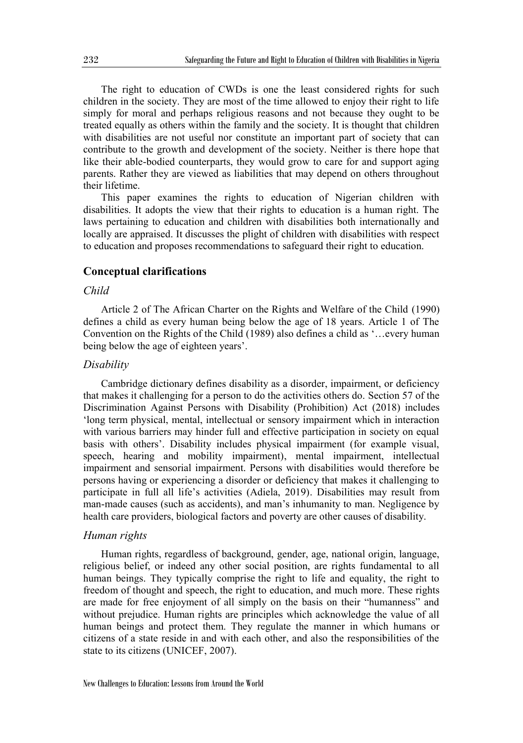The right to education of CWDs is one the least considered rights for such children in the society. They are most of the time allowed to enjoy their right to life simply for moral and perhaps religious reasons and not because they ought to be treated equally as others within the family and the society. It is thought that children with disabilities are not useful nor constitute an important part of society that can contribute to the growth and development of the society. Neither is there hope that like their able-bodied counterparts, they would grow to care for and support aging parents. Rather they are viewed as liabilities that may depend on others throughout their lifetime.

This paper examines the rights to education of Nigerian children with disabilities. It adopts the view that their rights to education is a human right. The laws pertaining to education and children with disabilities both internationally and locally are appraised. It discusses the plight of children with disabilities with respect to education and proposes recommendations to safeguard their right to education.

## **Conceptual clarifications**

## *Child*

Article 2 of The African Charter on the Rights and Welfare of the Child (1990) defines a child as every human being below the age of 18 years. Article 1 of The Convention on the Rights of the Child (1989) also defines a child as '…every human being below the age of eighteen years'.

## *Disability*

Cambridge dictionary defines disability as a disorder, impairment, or deficiency that makes it challenging for a person to do the activities others do. Section 57 of the Discrimination Against Persons with Disability (Prohibition) Act (2018) includes 'long term physical, mental, intellectual or sensory impairment which in interaction with various barriers may hinder full and effective participation in society on equal basis with others'. Disability includes physical impairment (for example visual, speech, hearing and mobility impairment), mental impairment, intellectual impairment and sensorial impairment. Persons with disabilities would therefore be persons having or experiencing a disorder or deficiency that makes it challenging to participate in full all life's activities (Adiela, 2019). Disabilities may result from man-made causes (such as accidents), and man's inhumanity to man. Negligence by health care providers, biological factors and poverty are other causes of disability.

#### *Human rights*

Human rights, regardless of background, gender, age, national origin, language, religious belief, or indeed any other social position, are rights fundamental to all human beings. They typically comprise the right to life and equality, the right to freedom of thought and speech, the right to education, and much more. These rights are made for free enjoyment of all simply on the basis on their "humanness" and without prejudice. Human rights are principles which acknowledge the value of all human beings and protect them. They regulate the manner in which humans or citizens of a state reside in and with each other, and also the responsibilities of the state to its citizens (UNICEF, 2007).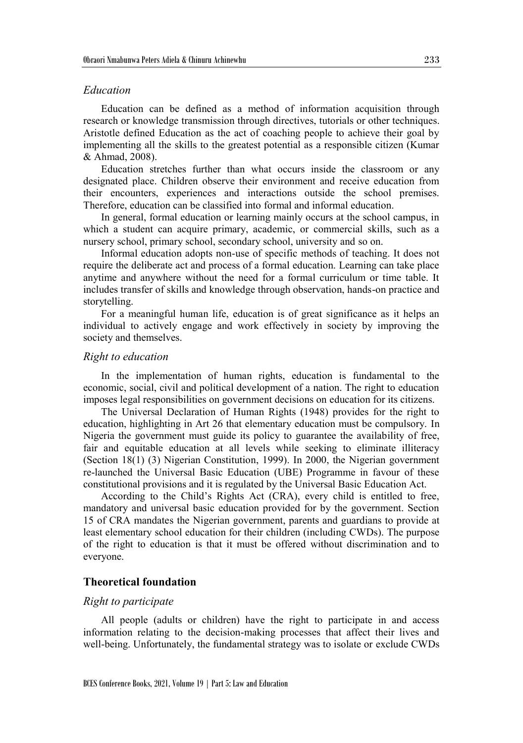## *Education*

Education can be defined as a method of information acquisition through research or knowledge transmission through directives, tutorials or other techniques. Aristotle defined Education as the act of coaching people to achieve their goal by implementing all the skills to the greatest potential as a responsible citizen (Kumar & Ahmad, 2008).

Education stretches further than what occurs inside the classroom or any designated place. Children observe their environment and receive education from their encounters, experiences and interactions outside the school premises. Therefore, education can be classified into formal and informal education.

In general, formal education or learning mainly occurs at the school campus, in which a student can acquire primary, academic, or commercial skills, such as a nursery school, primary school, secondary school, university and so on.

Informal education adopts non-use of specific methods of teaching. It does not require the deliberate act and process of a formal education. Learning can take place anytime and anywhere without the need for a formal curriculum or time table. It includes transfer of skills and knowledge through observation, hands-on practice and storytelling.

For a meaningful human life, education is of great significance as it helps an individual to actively engage and work effectively in society by improving the society and themselves.

## *Right to education*

In the implementation of human rights, education is fundamental to the economic, social, civil and political development of a nation. The right to education imposes legal responsibilities on government decisions on education for its citizens.

The Universal Declaration of Human Rights (1948) provides for the right to education, highlighting in Art 26 that elementary education must be compulsory. In Nigeria the government must guide its policy to guarantee the availability of free, fair and equitable education at all levels while seeking to eliminate illiteracy (Section 18(1) (3) Nigerian Constitution, 1999). In 2000, the Nigerian government re-launched the Universal Basic Education (UBE) Programme in favour of these constitutional provisions and it is regulated by the Universal Basic Education Act.

According to the Child's Rights Act (CRA), every child is entitled to free, mandatory and universal basic education provided for by the government. Section 15 of CRA mandates the Nigerian government, parents and guardians to provide at least elementary school education for their children (including CWDs). The purpose of the right to education is that it must be offered without discrimination and to everyone.

## **Theoretical foundation**

#### *Right to participate*

All people (adults or children) have the right to participate in and access information relating to the decision-making processes that affect their lives and well-being. Unfortunately, the fundamental strategy was to isolate or exclude CWDs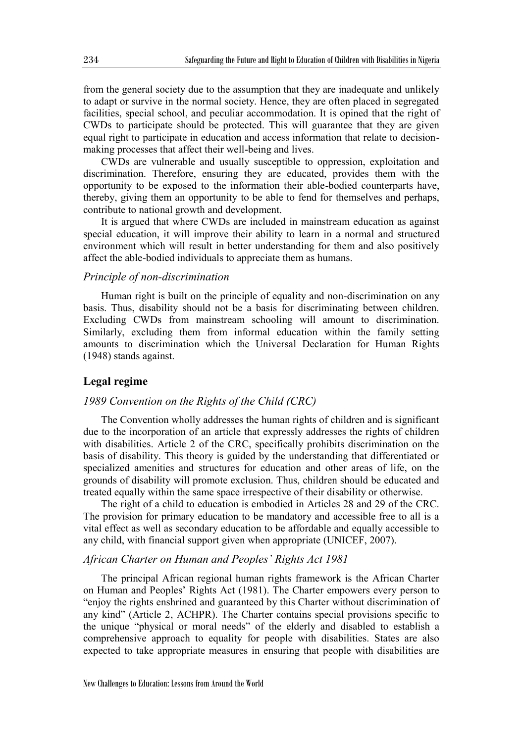from the general society due to the assumption that they are inadequate and unlikely to adapt or survive in the normal society. Hence, they are often placed in segregated facilities, special school, and peculiar accommodation. It is opined that the right of CWDs to participate should be protected. This will guarantee that they are given equal right to participate in education and access information that relate to decisionmaking processes that affect their well-being and lives.

CWDs are vulnerable and usually susceptible to oppression, exploitation and discrimination. Therefore, ensuring they are educated, provides them with the opportunity to be exposed to the information their able-bodied counterparts have, thereby, giving them an opportunity to be able to fend for themselves and perhaps, contribute to national growth and development.

It is argued that where CWDs are included in mainstream education as against special education, it will improve their ability to learn in a normal and structured environment which will result in better understanding for them and also positively affect the able-bodied individuals to appreciate them as humans.

## *Principle of non-discrimination*

Human right is built on the principle of equality and non-discrimination on any basis. Thus, disability should not be a basis for discriminating between children. Excluding CWDs from mainstream schooling will amount to discrimination. Similarly, excluding them from informal education within the family setting amounts to discrimination which the Universal Declaration for Human Rights (1948) stands against.

## **Legal regime**

## *1989 Convention on the Rights of the Child (CRC)*

The Convention wholly addresses the human rights of children and is significant due to the incorporation of an article that expressly addresses the rights of children with disabilities. Article 2 of the CRC, specifically prohibits discrimination on the basis of disability. This theory is guided by the understanding that differentiated or specialized amenities and structures for education and other areas of life, on the grounds of disability will promote exclusion. Thus, children should be educated and treated equally within the same space irrespective of their disability or otherwise.

The right of a child to education is embodied in Articles 28 and 29 of the CRC. The provision for primary education to be mandatory and accessible free to all is a vital effect as well as secondary education to be affordable and equally accessible to any child, with financial support given when appropriate (UNICEF, 2007).

## *African Charter on Human and Peoples' Rights Act 1981*

The principal African regional human rights framework is the African Charter on Human and Peoples' Rights Act (1981). The Charter empowers every person to "enjoy the rights enshrined and guaranteed by this Charter without discrimination of any kind" (Article 2, ACHPR). The Charter contains special provisions specific to the unique "physical or moral needs" of the elderly and disabled to establish a comprehensive approach to equality for people with disabilities. States are also expected to take appropriate measures in ensuring that people with disabilities are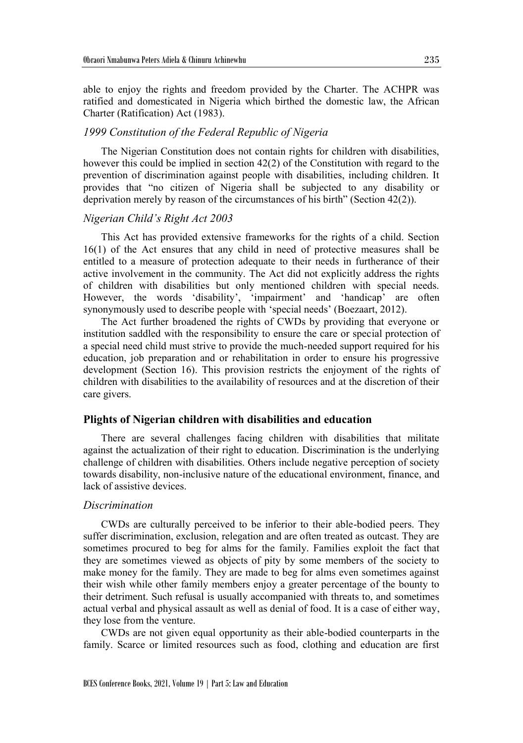able to enjoy the rights and freedom provided by the Charter. The ACHPR was ratified and domesticated in Nigeria which birthed the domestic law, the African Charter (Ratification) Act (1983).

## *1999 Constitution of the Federal Republic of Nigeria*

The Nigerian Constitution does not contain rights for children with disabilities, however this could be implied in section 42(2) of the Constitution with regard to the prevention of discrimination against people with disabilities, including children. It provides that "no citizen of Nigeria shall be subjected to any disability or deprivation merely by reason of the circumstances of his birth" (Section 42(2)).

## *Nigerian Child's Right Act 2003*

This Act has provided extensive frameworks for the rights of a child. Section 16(1) of the Act ensures that any child in need of protective measures shall be entitled to a measure of protection adequate to their needs in furtherance of their active involvement in the community. The Act did not explicitly address the rights of children with disabilities but only mentioned children with special needs. However, the words 'disability', 'impairment' and 'handicap' are often synonymously used to describe people with 'special needs' (Boezaart, 2012).

The Act further broadened the rights of CWDs by providing that everyone or institution saddled with the responsibility to ensure the care or special protection of a special need child must strive to provide the much-needed support required for his education, job preparation and or rehabilitation in order to ensure his progressive development (Section 16). This provision restricts the enjoyment of the rights of children with disabilities to the availability of resources and at the discretion of their care givers.

## **Plights of Nigerian children with disabilities and education**

There are several challenges facing children with disabilities that militate against the actualization of their right to education. Discrimination is the underlying challenge of children with disabilities. Others include negative perception of society towards disability, non-inclusive nature of the educational environment, finance, and lack of assistive devices.

## *Discrimination*

CWDs are culturally perceived to be inferior to their able-bodied peers. They suffer discrimination, exclusion, relegation and are often treated as outcast. They are sometimes procured to beg for alms for the family. Families exploit the fact that they are sometimes viewed as objects of pity by some members of the society to make money for the family. They are made to beg for alms even sometimes against their wish while other family members enjoy a greater percentage of the bounty to their detriment. Such refusal is usually accompanied with threats to, and sometimes actual verbal and physical assault as well as denial of food. It is a case of either way, they lose from the venture.

CWDs are not given equal opportunity as their able-bodied counterparts in the family. Scarce or limited resources such as food, clothing and education are first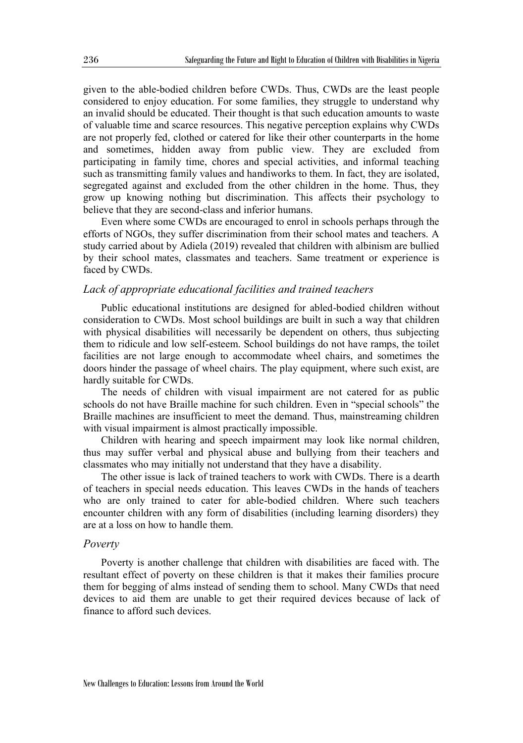given to the able-bodied children before CWDs. Thus, CWDs are the least people considered to enjoy education. For some families, they struggle to understand why an invalid should be educated. Their thought is that such education amounts to waste of valuable time and scarce resources. This negative perception explains why CWDs are not properly fed, clothed or catered for like their other counterparts in the home and sometimes, hidden away from public view. They are excluded from participating in family time, chores and special activities, and informal teaching such as transmitting family values and handiworks to them. In fact, they are isolated, segregated against and excluded from the other children in the home. Thus, they grow up knowing nothing but discrimination. This affects their psychology to believe that they are second-class and inferior humans.

Even where some CWDs are encouraged to enrol in schools perhaps through the efforts of NGOs, they suffer discrimination from their school mates and teachers. A study carried about by Adiela (2019) revealed that children with albinism are bullied by their school mates, classmates and teachers. Same treatment or experience is faced by CWDs.

## *Lack of appropriate educational facilities and trained teachers*

Public educational institutions are designed for abled-bodied children without consideration to CWDs. Most school buildings are built in such a way that children with physical disabilities will necessarily be dependent on others, thus subjecting them to ridicule and low self-esteem. School buildings do not have ramps, the toilet facilities are not large enough to accommodate wheel chairs, and sometimes the doors hinder the passage of wheel chairs. The play equipment, where such exist, are hardly suitable for CWDs.

The needs of children with visual impairment are not catered for as public schools do not have Braille machine for such children. Even in "special schools" the Braille machines are insufficient to meet the demand. Thus, mainstreaming children with visual impairment is almost practically impossible.

Children with hearing and speech impairment may look like normal children, thus may suffer verbal and physical abuse and bullying from their teachers and classmates who may initially not understand that they have a disability.

The other issue is lack of trained teachers to work with CWDs. There is a dearth of teachers in special needs education. This leaves CWDs in the hands of teachers who are only trained to cater for able-bodied children. Where such teachers encounter children with any form of disabilities (including learning disorders) they are at a loss on how to handle them.

#### *Poverty*

Poverty is another challenge that children with disabilities are faced with. The resultant effect of poverty on these children is that it makes their families procure them for begging of alms instead of sending them to school. Many CWDs that need devices to aid them are unable to get their required devices because of lack of finance to afford such devices.